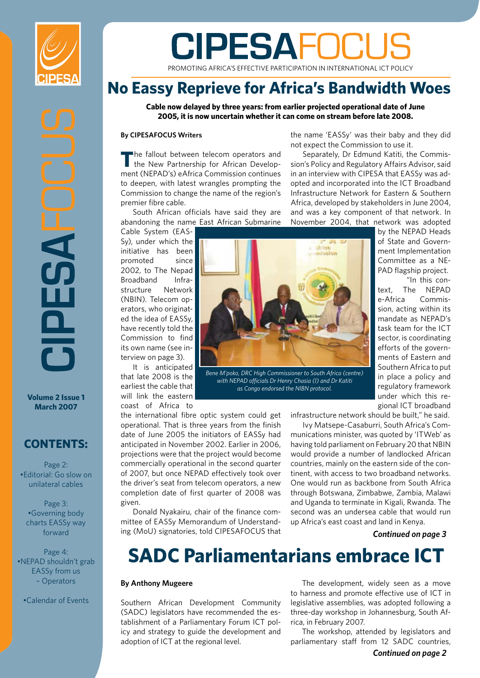

**Volume 2 Issue 1 March 2007**

#### **CONTENTS:**

Page 2: •Editorial: Go slow on unilateral cables

Page 3: •Governing body charts EASSy way forward

Page 4: •NEPAD shouldn't grab EASSy from us – Operators

•Calendar of Events

# **CIPESAFOCUS**

PROMOTING AFRICA'S EFFECTIVE PARTICIPATION IN INTERNATIONAL ICT POLICY

### **No Eassy Reprieve for Africa's Bandwidth Woes**

**Cable now delayed by three years: from earlier projected operational date of June 2005, it is now uncertain whether it can come on stream before late 2008.** 

#### **By CIPESAFOCUS Writers**

**T**he fallout between telecom operators and the New Partnership for African Development (NEPAD's) eAfrica Commission continues to deepen, with latest wrangles prompting the Commission to change the name of the region's premier fibre cable.

South African officials have said they are abandoning the name East African Submarine

Cable System (EAS-Sy), under which the initiative has been promoted since 2002, to The Nepad Broadband Infrastructure Network (NBIN). Telecom operators, who originated the idea of EASSy, have recently told the Commission to find its own name (see interview on page 3).

It is anticipated that late 2008 is the earliest the cable that will link the eastern coast of Africa to

the international fibre optic system could get operational. That is three years from the finish date of June 2005 the initiators of EASSy had anticipated in November 2002. Earlier in 2006, projections were that the project would become commercially operational in the second quarter of 2007, but once NEPAD effectively took over the driver's seat from telecom operators, a new completion date of first quarter of 2008 was given.

Donald Nyakairu, chair of the finance committee of EASSy Memorandum of Understanding (MoU) signatories, told CIPESAFOCUS that



*Bene M'poko, DRC High Commissioner to South Africa (centre) with NEPAD officials Dr Henry Chasia (l) and Dr Katiti as Congo endorsed the NIBN protocol.*

the name 'EASSy' was their baby and they did not expect the Commission to use it.

Separately, Dr Edmund Katiti, the Commission's Policy and Regulatory Affairs Advisor, said in an interview with CIPESA that EASSy was adopted and incorporated into the ICT Broadband Infrastructure Network for Eastern & Southern Africa, developed by stakeholders in June 2004, and was a key component of that network. In November 2004, that network was adopted

by the NEPAD Heads of State and Government Implementation Committee as a NE-PAD flagship project.

"In this context, The NEPAD e-Africa Commission, acting within its mandate as NEPAD's task team for the ICT sector, is coordinating efforts of the governments of Eastern and Southern Africa to put in place a policy and regulatory framework under which this regional ICT broadband

infrastructure network should be built," he said.

Ivy Matsepe-Casaburri, South Africa's Communications minister, was quoted by 'ITWeb' as having told parliament on February 20 that NBIN would provide a number of landlocked African countries, mainly on the eastern side of the continent, with access to two broadband networks. One would run as backbone from South Africa through Botswana, Zimbabwe, Zambia, Malawi and Uganda to terminate in Kigali, Rwanda. The second was an undersea cable that would run up Africa's east coast and land in Kenya.

#### *Continued on page 3*

# **SADC Parliamentarians embrace ICT**

#### **By Anthony Mugeere**

Southern African Development Community (SADC) legislators have recommended the establishment of a Parliamentary Forum ICT policy and strategy to guide the development and adoption of ICT at the regional level.

The development, widely seen as a move to harness and promote effective use of ICT in legislative assemblies, was adopted following a three-day workshop in Johannesburg, South Africa, in February 2007.

The workshop, attended by legislators and parliamentary staff from 12 SADC countries,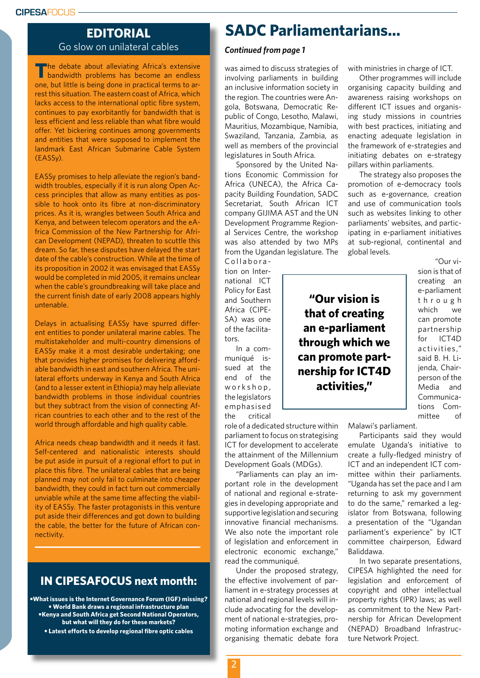#### **CIPESA**FOCUS

#### **EDITORIAL** Go slow on unilateral cables

The debate about alleviating Africa's extensive bandwidth problems has become an endless one, but little is being done in practical terms to arrest this situation. The eastern coast of Africa, which lacks access to the international optic fibre system, continues to pay exorbitantly for bandwidth that is less efficient and less reliable than what fibre would offer. Yet bickering continues among governments and entities that were supposed to implement the landmark East African Submarine Cable System (EASSy).

EASSy promises to help alleviate the region's bandwidth troubles, especially if it is run along Open Access principles that allow as many entities as possible to hook onto its fibre at non-discriminatory prices. As it is, wrangles between South Africa and Kenya, and between telecom operators and the eAfrica Commission of the New Partnership for African Development (NEPAD), threaten to scuttle this dream. So far, these disputes have delayed the start date of the cable's construction. While at the time of its proposition in 2002 it was envisaged that EASSy would be completed in mid 2005, it remains unclear when the cable's groundbreaking will take place and the current finish date of early 2008 appears highly untenable.

Delays in actualising EASSy have spurred different entities to ponder unilateral marine cables. The multistakeholder and multi-country dimensions of EASSy make it a most desirable undertaking; one that provides higher promises for delivering affordable bandwidth in east and southern Africa. The unilateral efforts underway in Kenya and South Africa (and to a lesser extent in Ethiopia) may help alleviate bandwidth problems in those individual countries but they subtract from the vision of connecting African countries to each other and to the rest of the world through affordable and high quality cable.

Africa needs cheap bandwidth and it needs it fast. Self-centered and nationalistic interests should be put aside in pursuit of a regional effort to put in place this fibre. The unilateral cables that are being planned may not only fail to culminate into cheaper bandwidth, they could in fact turn out commercially unviable while at the same time affecting the viability of EASSy. The faster protagonists in this venture put aside their differences and got down to building the cable, the better for the future of African connectivity.

### **IN CIPESAFOCUS next month:**

**•What issues is the Internet Governance Forum (IGF) missing? • World Bank draws a regional infrastructure plan •Kenya and South Africa get Second National Operators, but what will they do for these markets? • Latest efforts to develop regional fibre optic cables**

### **SADC Parliamentarians...**

#### *Continued from page 1*

was aimed to discuss strategies of involving parliaments in building an inclusive information society in the region. The countries were Angola, Botswana, Democratic Republic of Congo, Lesotho, Malawi, Mauritius, Mozambique, Namibia, Swaziland, Tanzania, Zambia, as well as members of the provincial legislatures in South Africa.

Sponsored by the United Nations Economic Commission for Africa (UNECA), the Africa Capacity Building Foundation, SADC Secretariat, South African ICT company GIJIMA AST and the UN Development Programme Regional Services Centre, the workshop was also attended by two MPs from the Ugandan legislature. The

Collaboration on International ICT Policy for East and Southern Africa (CIPE-SA) was one of the facilitators.

In a communiqué issued at the end of the workshop, the legislators emphasised the critical

role of a dedicated structure within parliament to focus on strategising ICT for development to accelerate the attainment of the Millennium Development Goals (MDGs).

"Parliaments can play an important role in the development of national and regional e-strategies in developing appropriate and supportive legislation and securing innovative financial mechanisms. We also note the important role of legislation and enforcement in electronic economic exchange," read the communiqué.

Under the proposed strategy, the effective involvement of parliament in e-strategy processes at national and regional levels will include advocating for the development of national e-strategies, promoting information exchange and organising thematic debate fora with ministries in charge of ICT.

Other programmes will include organising capacity building and awareness raising workshops on different ICT issues and organising study missions in countries with best practices, initiating and enacting adequate legislation in the framework of e-strategies and initiating debates on e-strategy pillars within parliaments.

The strategy also proposes the promotion of e-democracy tools such as e-governance, creation and use of communication tools such as websites linking to other parliaments' websites, and participating in e-parliament initiatives at sub-regional, continental and global levels.

> "Our vision is that of creating an e-parliament t h r o u g h which we can promote partnership for ICT4D activities," said B. H. Lijenda, Chairperson of the Media and Communications Committee of

Malawi's parliament.

**nership for ICT4D activities,"**

> Participants said they would emulate Uganda's initiative to create a fully-fledged ministry of ICT and an independent ICT committee within their parliaments. "Uganda has set the pace and I am returning to ask my government to do the same," remarked a legislator from Botswana, following a presentation of the "Ugandan parliament's experience" by ICT committee chairperson, Edward Baliddawa.

> In two separate presentations, CIPESA highlighted the need for legislation and enforcement of copyright and other intellectual property rights (IPR) laws; as well as commitment to the New Partnership for African Development (NEPAD) Broadband Infrastructure Network Project.

**"Our vision is that of creating an e-parliament through which we can promote part-**

 $\overline{2}$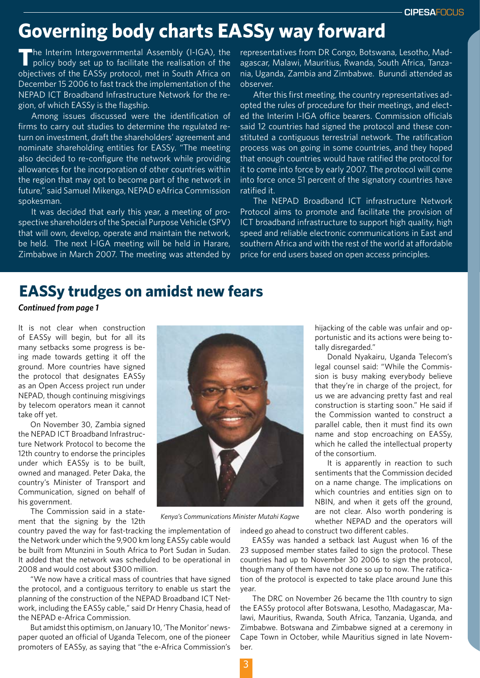# **Governing body charts EASSy way forward**

**T**he Interim Intergovernmental Assembly (I-IGA), the policy body set up to facilitate the realisation of the objectives of the EASSy protocol, met in South Africa on December 15 2006 to fast track the implementation of the NEPAD ICT Broadband Infrastructure Network for the region, of which EASSy is the flagship.

Among issues discussed were the identification of firms to carry out studies to determine the regulated return on investment, draft the shareholders' agreement and nominate shareholding entities for EASSy. "The meeting also decided to re-configure the network while providing allowances for the incorporation of other countries within the region that may opt to become part of the network in future," said Samuel Mikenga, NEPAD eAfrica Commission spokesman.

It was decided that early this year, a meeting of prospective shareholders of the Special Purpose Vehicle (SPV) that will own, develop, operate and maintain the network, be held. The next I-IGA meeting will be held in Harare, Zimbabwe in March 2007. The meeting was attended by representatives from DR Congo, Botswana, Lesotho, Madagascar, Malawi, Mauritius, Rwanda, South Africa, Tanzania, Uganda, Zambia and Zimbabwe. Burundi attended as observer.

After this first meeting, the country representatives adopted the rules of procedure for their meetings, and elected the Interim I-IGA office bearers. Commission officials said 12 countries had signed the protocol and these constituted a contiguous terrestrial network. The ratification process was on going in some countries, and they hoped that enough countries would have ratified the protocol for it to come into force by early 2007. The protocol will come into force once 51 percent of the signatory countries have ratified it.

The NEPAD Broadband ICT infrastructure Network Protocol aims to promote and facilitate the provision of ICT broadband infrastructure to support high quality, high speed and reliable electronic communications in East and southern Africa and with the rest of the world at affordable price for end users based on open access principles.

## **EASSy trudges on amidst new fears**

*Continued from page 1*

It is not clear when construction of EASSy will begin, but for all its many setbacks some progress is being made towards getting it off the ground. More countries have signed the protocol that designates EASSy as an Open Access project run under NEPAD, though continuing misgivings by telecom operators mean it cannot take off yet.

On November 30, Zambia signed the NEPAD ICT Broadband Infrastructure Network Protocol to become the 12th country to endorse the principles under which EASSy is to be built, owned and managed. Peter Daka, the country's Minister of Transport and Communication, signed on behalf of his government.

The Commission said in a statement that the signing by the 12th

country paved the way for fast-tracking the implementation of the Network under which the 9,900 km long EASSy cable would be built from Mtunzini in South Africa to Port Sudan in Sudan. It added that the network was scheduled to be operational in 2008 and would cost about \$300 million.

"We now have a critical mass of countries that have signed the protocol, and a contiguous territory to enable us start the planning of the construction of the NEPAD Broadband ICT Network, including the EASSy cable," said Dr Henry Chasia, head of the NEPAD e-Africa Commission.

But amidst this optimism, on January 10, 'The Monitor' newspaper quoted an official of Uganda Telecom, one of the pioneer promoters of EASSy, as saying that "the e-Africa Commission's



*Kenya's Communications Minister Mutahi Kagwe*

hijacking of the cable was unfair and opportunistic and its actions were being totally disregarded."

Donald Nyakairu, Uganda Telecom's legal counsel said: "While the Commission is busy making everybody believe that they're in charge of the project, for us we are advancing pretty fast and real construction is starting soon." He said if the Commission wanted to construct a parallel cable, then it must find its own name and stop encroaching on EASSy, which he called the intellectual property of the consortium.

It is apparently in reaction to such sentiments that the Commission decided on a name change. The implications on which countries and entities sign on to NBIN, and when it gets off the ground, are not clear. Also worth pondering is whether NEPAD and the operators will

indeed go ahead to construct two different cables.

EASSy was handed a setback last August when 16 of the 23 supposed member states failed to sign the protocol. These countries had up to November 30 2006 to sign the protocol, though many of them have not done so up to now. The ratification of the protocol is expected to take place around June this year.

The DRC on November 26 became the 11th country to sign the EASSy protocol after Botswana, Lesotho, Madagascar, Malawi, Mauritius, Rwanda, South Africa, Tanzania, Uganda, and Zimbabwe. Botswana and Zimbabwe signed at a ceremony in Cape Town in October, while Mauritius signed in late November.